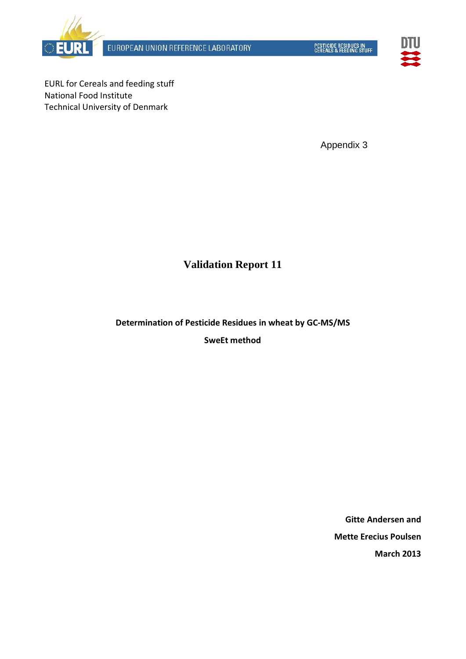



EURL for Cereals and feeding stuff National Food Institute Technical University of Denmark

Appendix 3

# **Validation Report 11**

**Determination of Pesticide Residues in wheat by GC-MS/MS**

**SweEt method**

**Gitte Andersen and Mette Erecius Poulsen March 2013**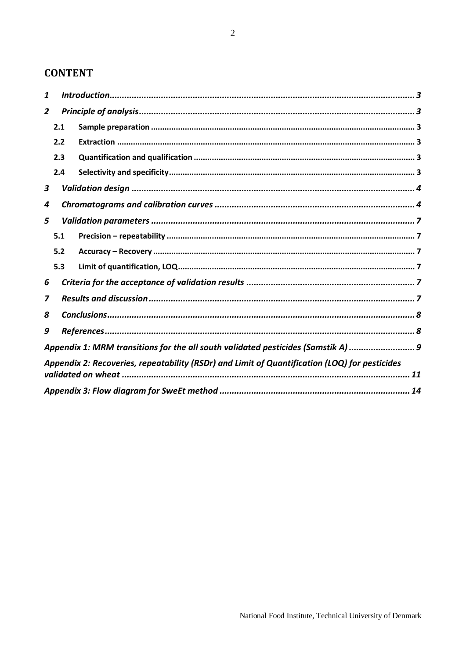# **CONTENT**

| 1              |     |                                                                                               |
|----------------|-----|-----------------------------------------------------------------------------------------------|
| $\overline{2}$ |     |                                                                                               |
|                | 2.1 |                                                                                               |
|                | 2.2 |                                                                                               |
|                | 2.3 |                                                                                               |
|                | 2.4 |                                                                                               |
| 3              |     |                                                                                               |
| 4              |     |                                                                                               |
| 5              |     |                                                                                               |
|                | 5.1 |                                                                                               |
|                | 5.2 |                                                                                               |
|                | 5.3 |                                                                                               |
| 6              |     |                                                                                               |
| 7              |     |                                                                                               |
| 8              |     |                                                                                               |
| 9              |     |                                                                                               |
|                |     | Appendix 1: MRM transitions for the all south validated pesticides (Samstik A)  9             |
|                |     | Appendix 2: Recoveries, repeatability (RSDr) and Limit of Quantification (LOQ) for pesticides |
|                |     |                                                                                               |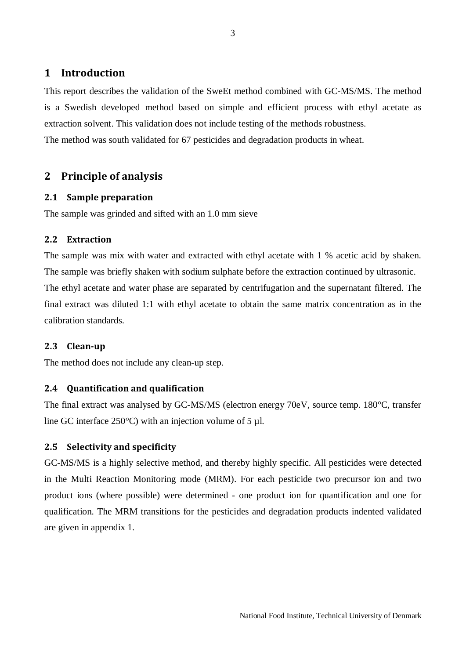# <span id="page-2-0"></span>**1 Introduction**

This report describes the validation of the SweEt method combined with GC-MS/MS. The method is a Swedish developed method based on simple and efficient process with ethyl acetate as extraction solvent. This validation does not include testing of the methods robustness. The method was south validated for 67 pesticides and degradation products in wheat.

# <span id="page-2-2"></span><span id="page-2-1"></span>**2 Principle of analysis**

#### **2.1 Sample preparation**

The sample was grinded and sifted with an 1.0 mm sieve

#### <span id="page-2-3"></span>**2.2 Extraction**

The sample was mix with water and extracted with ethyl acetate with 1 % acetic acid by shaken. The sample was briefly shaken with sodium sulphate before the extraction continued by ultrasonic. The ethyl acetate and water phase are separated by centrifugation and the supernatant filtered. The final extract was diluted 1:1 with ethyl acetate to obtain the same matrix concentration as in the calibration standards.

#### **2.3 Clean-up**

The method does not include any clean-up step.

#### <span id="page-2-4"></span>**2.4 Quantification and qualification**

The final extract was analysed by GC-MS/MS (electron energy 70eV, source temp. 180°C, transfer line GC interface 250 $^{\circ}$ C) with an injection volume of 5 µl.

#### <span id="page-2-5"></span>**2.5 Selectivity and specificity**

GC-MS/MS is a highly selective method, and thereby highly specific. All pesticides were detected in the Multi Reaction Monitoring mode (MRM). For each pesticide two precursor ion and two product ions (where possible) were determined - one product ion for quantification and one for qualification. The MRM transitions for the pesticides and degradation products indented validated are given in appendix 1.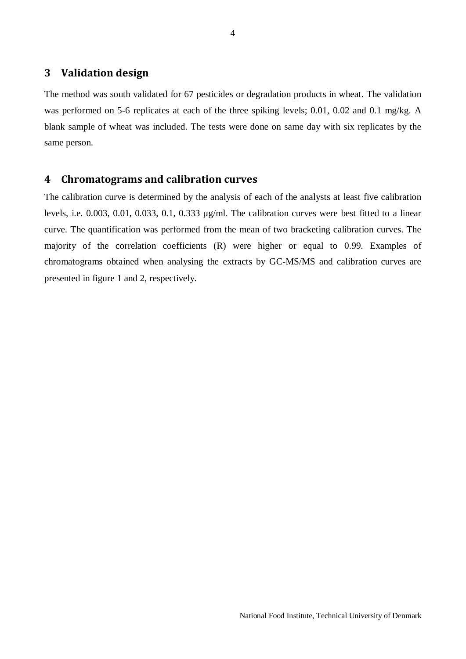# <span id="page-3-0"></span>**3 Validation design**

The method was south validated for 67 pesticides or degradation products in wheat. The validation was performed on 5-6 replicates at each of the three spiking levels; 0.01, 0.02 and 0.1 mg/kg. A blank sample of wheat was included. The tests were done on same day with six replicates by the same person.

#### <span id="page-3-1"></span>**4 Chromatograms and calibration curves**

The calibration curve is determined by the analysis of each of the analysts at least five calibration levels, i.e. 0.003, 0.01, 0.033, 0.1, 0.333 µg/ml. The calibration curves were best fitted to a linear curve. The quantification was performed from the mean of two bracketing calibration curves. The majority of the correlation coefficients (R) were higher or equal to 0.99. Examples of chromatograms obtained when analysing the extracts by GC-MS/MS and calibration curves are presented in figure 1 and 2, respectively.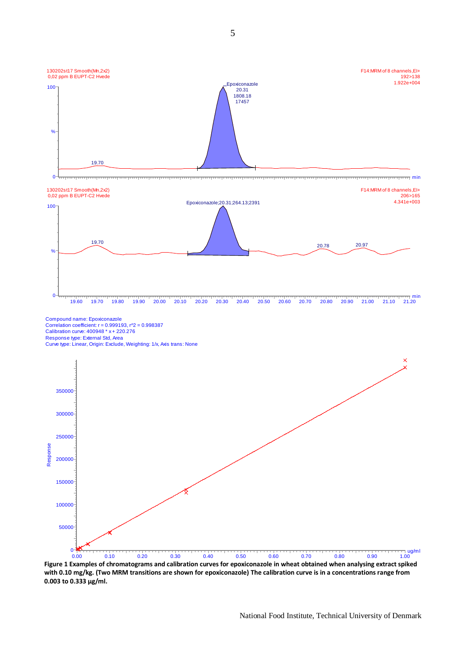

**Figure 1 Examples of chromatograms and calibration curves for epoxiconazole in wheat obtained when analysing extract spiked with 0.10 mg/kg. (Two MRM transitions are shown for epoxiconazole) The calibration curve is in a concentrations range from 0.003 to 0.333 µg/ml.**  0.00 0.10 0.20 0.30 0.40 0.50 0.60 0.70 0.80 0.90 1.00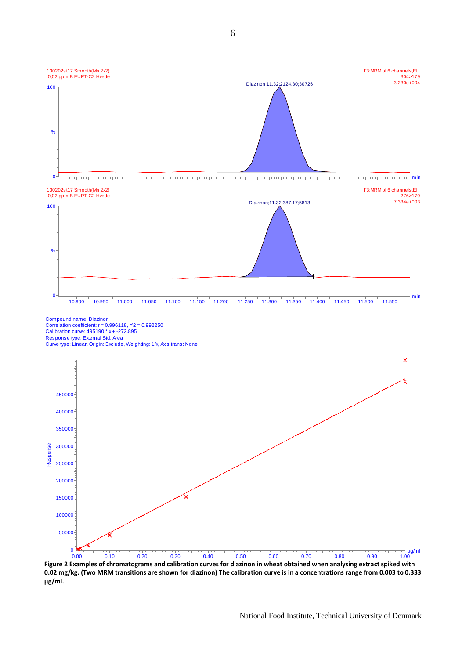

**Figure 2 Examples of chromatograms and calibration curves for diazinon in wheat obtained when analysing extract spiked with 0.02 mg/kg. (Two MRM transitions are shown for diazinon) The calibration curve is in a concentrations range from 0.003 to 0.333 µg/ml.** 

0.00 0.10 0.20 0.30 0.40 0.50 0.60 0.70 0.80 0.90 1.00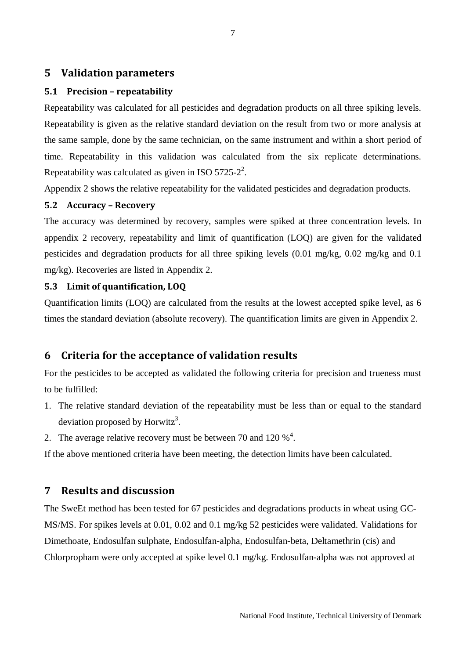# <span id="page-6-0"></span>**5 Validation parameters**

#### <span id="page-6-1"></span>**5.1 Precision – repeatability**

Repeatability was calculated for all pesticides and degradation products on all three spiking levels. Repeatability is given as the relative standard deviation on the result from two or more analysis at the same sample, done by the same technician, on the same instrument and within a short period of time. Repeatability in this validation was calculated from the six replicate determinations. Repeatability was calculated as given in ISO 5725-2<sup>2</sup>.

Appendix 2 shows the relative repeatability for the validated pesticides and degradation products.

#### <span id="page-6-2"></span>**5.2 Accuracy – Recovery**

The accuracy was determined by recovery, samples were spiked at three concentration levels. In appendix 2 recovery, repeatability and limit of quantification (LOQ) are given for the validated pesticides and degradation products for all three spiking levels (0.01 mg/kg, 0.02 mg/kg and 0.1 mg/kg). Recoveries are listed in Appendix 2.

### <span id="page-6-3"></span>**5.3 Limit of quantification, LOQ**

Quantification limits (LOQ) are calculated from the results at the lowest accepted spike level, as 6 times the standard deviation (absolute recovery). The quantification limits are given in Appendix 2.

# <span id="page-6-4"></span>**6 Criteria for the acceptance of validation results**

For the pesticides to be accepted as validated the following criteria for precision and trueness must to be fulfilled:

- 1. The relative standard deviation of the repeatability must be less than or equal to the standard deviation proposed by Horwitz<sup>3</sup>.
- 2. The average relative recovery must be between 70 and 120  $\%$ <sup>4</sup>.

<span id="page-6-5"></span>If the above mentioned criteria have been meeting, the detection limits have been calculated.

# **7 Results and discussion**

The SweEt method has been tested for 67 pesticides and degradations products in wheat using GC-MS/MS. For spikes levels at 0.01, 0.02 and 0.1 mg/kg 52 pesticides were validated. Validations for Dimethoate, Endosulfan sulphate, Endosulfan-alpha, Endosulfan-beta, Deltamethrin (cis) and Chlorpropham were only accepted at spike level 0.1 mg/kg. Endosulfan-alpha was not approved at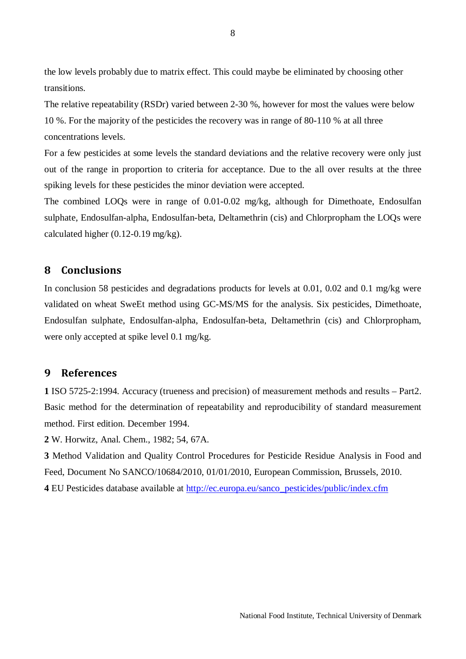the low levels probably due to matrix effect. This could maybe be eliminated by choosing other transitions.

The relative repeatability (RSDr) varied between 2-30 %, however for most the values were below 10 %. For the majority of the pesticides the recovery was in range of 80-110 % at all three concentrations levels.

For a few pesticides at some levels the standard deviations and the relative recovery were only just out of the range in proportion to criteria for acceptance. Due to the all over results at the three spiking levels for these pesticides the minor deviation were accepted.

The combined LOQs were in range of 0.01-0.02 mg/kg, although for Dimethoate, Endosulfan sulphate, Endosulfan-alpha, Endosulfan-beta, Deltamethrin (cis) and Chlorpropham the LOQs were calculated higher (0.12-0.19 mg/kg).

# <span id="page-7-0"></span>**8 Conclusions**

In conclusion 58 pesticides and degradations products for levels at 0.01, 0.02 and 0.1 mg/kg were validated on wheat SweEt method using GC-MS/MS for the analysis. Six pesticides, Dimethoate, Endosulfan sulphate, Endosulfan-alpha, Endosulfan-beta, Deltamethrin (cis) and Chlorpropham, were only accepted at spike level 0.1 mg/kg.

# <span id="page-7-1"></span>**9 References**

**1** ISO 5725-2:1994. Accuracy (trueness and precision) of measurement methods and results – Part2. Basic method for the determination of repeatability and reproducibility of standard measurement method. First edition. December 1994.

**2** W. Horwitz, Anal. Chem., 1982; 54, 67A.

**3** Method Validation and Quality Control Procedures for Pesticide Residue Analysis in Food and Feed, Document No SANCO/10684/2010, 01/01/2010, European Commission, Brussels, 2010. **4** EU Pesticides database available at [http://ec.europa.eu/sanco\\_pesticides/public/index.cfm](http://ec.europa.eu/sanco_pesticides/public/index.cfm)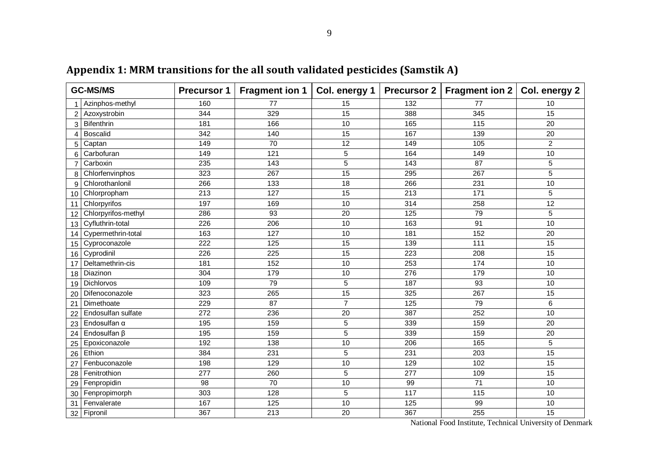|                | <b>GC-MS/MS</b>           | <b>Precursor 1</b> | <b>Fragment ion 1</b> | Col. energy 1  |     | Precursor 2   Fragment ion 2 | Col. energy 2  |  |
|----------------|---------------------------|--------------------|-----------------------|----------------|-----|------------------------------|----------------|--|
|                | Azinphos-methyl           | 160                | 77                    | 15             | 132 | 77                           | 10             |  |
|                | 2 Azoxystrobin            | 344                | 329                   | 15             | 388 | 345                          | 15             |  |
|                | 3 Bifenthrin              | 181                | 166                   | 10             | 165 | 115                          | 20             |  |
| $\overline{4}$ | <b>Boscalid</b>           | 342                | 140                   | 15             | 167 | 139                          | 20             |  |
|                | 5 Captan                  | 149                | 70                    | 12             | 149 | 105                          | $\overline{2}$ |  |
|                | 6 Carbofuran              | 149                | 121                   | 5              | 164 | 149                          | 10             |  |
| $\overline{7}$ | Carboxin                  | 235                | 143                   | 5              | 143 | 87                           | 5              |  |
|                | 8 Chlorfenvinphos         | 323                | 267                   | 15             | 295 | 267                          | 5              |  |
|                | 9 Chlorothanlonil         | 266                | 133                   | 18             | 266 | 231                          | 10             |  |
|                | 10 Chlorpropham           | 213                | 127                   | 15             | 213 | 171                          | 5              |  |
|                | 11 Chlorpyrifos           | 197                | 169                   | 10             | 314 | 258                          | 12             |  |
|                | 12 Chlorpyrifos-methyl    | 286                | 93                    | 20             | 125 | 79                           | 5              |  |
|                | 13 Cyfluthrin-total       | 226                | 206                   | 10             | 163 | 91                           | 10             |  |
|                | 14 Cypermethrin-total     | 163                | 127                   | 10             | 181 | 152                          | 20             |  |
|                | 15 Cyproconazole          | 222                | 125                   | 15             | 139 | 111                          | 15             |  |
|                | 16 Cyprodinil             | 226                | 225                   | 15             | 223 | 208                          | 15             |  |
| 17             | Deltamethrin-cis          | 181                | 152                   | 10             | 253 | 174                          | 10             |  |
|                | 18 Diazinon               | 304                | 179                   | 10             | 276 | 179                          | 10             |  |
|                | 19 Dichlorvos             | 109                | 79                    | 5              | 187 | 93                           | 10             |  |
|                | 20 Difenoconazole         | 323                | 265                   | 15             | 325 | 267                          | 15             |  |
| 21             | Dimethoate                | 229                | 87                    | $\overline{7}$ | 125 | 79                           | 6              |  |
| 22             | <b>Endosulfan sulfate</b> | 272                | 236                   | 20             | 387 | 252                          | 10             |  |
|                | 23 Endosulfan α           | 195                | 159                   | 5              | 339 | 159                          | 20             |  |
|                | 24 Endosulfan β           | 195                | 159                   | 5              | 339 | 159                          | 20             |  |
|                | 25 Epoxiconazole          | 192                | 138                   | 10             | 206 | 165                          | 5              |  |
|                | $26$ Ethion               | 384                | 231                   | 5              | 231 | 203                          | 15             |  |

<span id="page-8-0"></span>27 Fenbuconazole 198 129 10 129 102 15<br>
28 Fenitrothion 277 260 5 277 109 15 28 Fenitrothion | 277 260 | 5 | 277 | 109 | 15 Fenpropidin 98 70 10 99 71 10 30 Fenpropimorph 303 128 5 117 115 10<br>31 Fenvalerate 167 125 10 125 99 10 Fenvalerate 167 125 10 125 99 10 Fipronil 367 213 20 367 255 15

**Appendix 1: MRM transitions for the all south validated pesticides (Samstik A)**

National Food Institute, Technical University of Denmark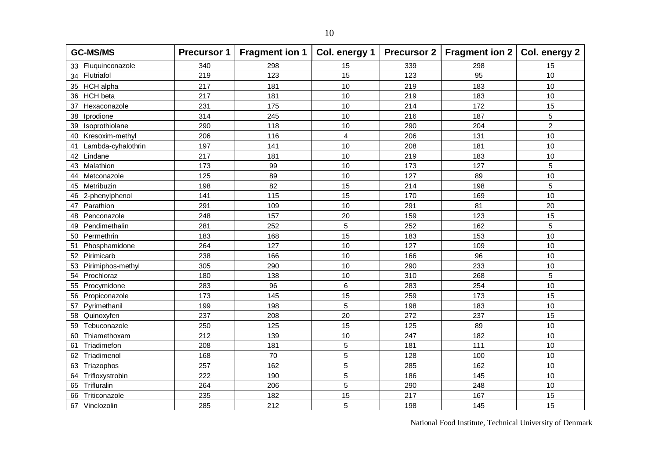| <b>GC-MS/MS</b>          |     | Precursor 1   Fragment ion 1   Col. energy 1 |                         |     | Precursor 2   Fragment ion 2   Col. energy 2 |                |
|--------------------------|-----|----------------------------------------------|-------------------------|-----|----------------------------------------------|----------------|
| Fluquinconazole<br>33    | 340 | 298                                          | 15                      | 339 | 298                                          | 15             |
| Flutriafol<br>34         | 219 | 123                                          | 15                      | 123 | 95                                           | 10             |
| <b>HCH</b> alpha<br>35   | 217 | 181                                          | 10                      | 219 | 183                                          | 10             |
| <b>HCH</b> beta<br>36    | 217 | 181                                          | 10                      | 219 | 183                                          | 10             |
| 37<br>Hexaconazole       | 231 | 175                                          | 10                      | 214 | 172                                          | 15             |
| 38<br>Iprodione          | 314 | 245                                          | 10                      | 216 | 187                                          | 5              |
| Isoprothiolane<br>39     | 290 | 118                                          | 10                      | 290 | 204                                          | $\overline{c}$ |
| Kresoxim-methyl<br>40    | 206 | 116                                          | $\overline{\mathbf{4}}$ | 206 | 131                                          | 10             |
| Lambda-cyhalothrin<br>41 | 197 | 141                                          | 10                      | 208 | 181                                          | 10             |
| Lindane<br>42            | 217 | 181                                          | 10                      | 219 | 183                                          | 10             |
| Malathion<br>43          | 173 | 99                                           | 10                      | 173 | 127                                          | 5              |
| Metconazole<br>44        | 125 | 89                                           | 10                      | 127 | 89                                           | 10             |
| 45<br>Metribuzin         | 198 | 82                                           | 15                      | 214 | 198                                          | 5              |
| 46<br>2-phenylphenol     | 141 | 115                                          | 15                      | 170 | 169                                          | 10             |
| Parathion<br>47          | 291 | 109                                          | 10                      | 291 | 81                                           | 20             |
| Penconazole<br>48        | 248 | 157                                          | 20                      | 159 | 123                                          | 15             |
| Pendimethalin<br>49      | 281 | 252                                          | 5                       | 252 | 162                                          | 5              |
| Permethrin<br>50         | 183 | 168                                          | 15                      | 183 | 153                                          | 10             |
| Phosphamidone<br>51      | 264 | 127                                          | 10                      | 127 | 109                                          | 10             |
| Pirimicarb<br>52         | 238 | 166                                          | 10                      | 166 | 96                                           | 10             |
| Pirimiphos-methyl<br>53  | 305 | 290                                          | 10                      | 290 | 233                                          | 10             |
| Prochloraz<br>54         | 180 | 138                                          | 10                      | 310 | 268                                          | 5              |
| 55<br>Procymidone        | 283 | 96                                           | $6\phantom{1}6$         | 283 | 254                                          | 10             |
| 56<br>Propiconazole      | 173 | 145                                          | 15                      | 259 | 173                                          | 15             |
| Pyrimethanil<br>57       | 199 | 198                                          | 5                       | 198 | 183                                          | 10             |
| Quinoxyfen<br>58         | 237 | 208                                          | 20                      | 272 | 237                                          | 15             |
| 59<br>Tebuconazole       | 250 | 125                                          | 15                      | 125 | 89                                           | 10             |
| Thiamethoxam<br>60       | 212 | 139                                          | 10                      | 247 | 182                                          | 10             |
| Triadimefon<br>61        | 208 | 181                                          | 5                       | 181 | 111                                          | 10             |
| 62<br>Triadimenol        | 168 | 70                                           | 5                       | 128 | 100                                          | 10             |
| Triazophos<br>63         | 257 | 162                                          | 5                       | 285 | 162                                          | 10             |
| Trifloxystrobin<br>64    | 222 | 190                                          | 5                       | 186 | 145                                          | 10             |
| Trifluralin<br>65        | 264 | 206                                          | 5                       | 290 | 248                                          | 10             |
| Triticonazole<br>66      | 235 | 182                                          | 15                      | 217 | 167                                          | 15             |
| 67<br>Vinclozolin        | 285 | 212                                          | 5                       | 198 | 145                                          | 15             |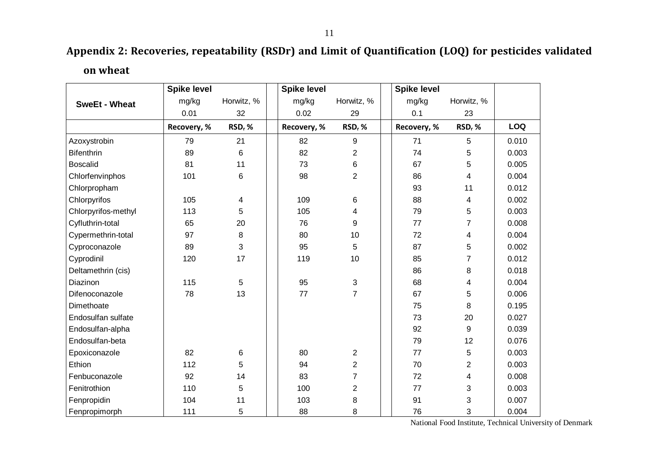# **Appendix 2: Recoveries, repeatability (RSDr) and Limit of Quantification (LOQ) for pesticides validated**

**on wheat**

<span id="page-10-0"></span>

|                      | <b>Spike level</b> |            | <b>Spike level</b> |                    | <b>Spike level</b> |                         |            |
|----------------------|--------------------|------------|--------------------|--------------------|--------------------|-------------------------|------------|
| <b>SweEt - Wheat</b> | mg/kg              | Horwitz, % | mg/kg              | Horwitz, %         | mg/kg              | Horwitz, %              |            |
|                      | 0.01               | 32         | 0.02               | 29                 | 0.1                | 23                      |            |
|                      | Recovery, %        | RSD, %     | Recovery, %        | RSD <sub>r</sub> % | Recovery, %        | RSD, %                  | <b>LOQ</b> |
| Azoxystrobin         | 79                 | 21         | 82                 | 9                  | 71                 | 5                       | 0.010      |
| <b>Bifenthrin</b>    | 89                 | 6          | 82                 | 2                  | 74                 | 5                       | 0.003      |
| <b>Boscalid</b>      | 81                 | 11         | 73                 | 6                  | 67                 | 5                       | 0.005      |
| Chlorfenvinphos      | 101                | 6          | 98                 | $\overline{2}$     | 86                 | 4                       | 0.004      |
| Chlorpropham         |                    |            |                    |                    | 93                 | 11                      | 0.012      |
| Chlorpyrifos         | 105                | 4          | 109                | 6                  | 88                 | 4                       | 0.002      |
| Chlorpyrifos-methyl  | 113                | 5          | 105                | 4                  | 79                 | 5                       | 0.003      |
| Cyfluthrin-total     | 65                 | 20         | 76                 | 9                  | 77                 | 7                       | 0.008      |
| Cypermethrin-total   | 97                 | 8          | 80                 | 10                 | 72                 | 4                       | 0.004      |
| Cyproconazole        | 89                 | 3          | 95                 | 5                  | 87                 | 5                       | 0.002      |
| Cyprodinil           | 120                | 17         | 119                | 10                 | 85                 | 7                       | 0.012      |
| Deltamethrin (cis)   |                    |            |                    |                    | 86                 | 8                       | 0.018      |
| Diazinon             | 115                | 5          | 95                 | 3                  | 68                 | $\overline{\mathbf{4}}$ | 0.004      |
| Difenoconazole       | 78                 | 13         | 77                 | $\overline{7}$     | 67                 | 5                       | 0.006      |
| Dimethoate           |                    |            |                    |                    | 75                 | 8                       | 0.195      |
| Endosulfan sulfate   |                    |            |                    |                    | 73                 | 20                      | 0.027      |
| Endosulfan-alpha     |                    |            |                    |                    | 92                 | $\boldsymbol{9}$        | 0.039      |
| Endosulfan-beta      |                    |            |                    |                    | 79                 | 12                      | 0.076      |
| Epoxiconazole        | 82                 | 6          | 80                 | $\overline{2}$     | 77                 | 5                       | 0.003      |
| Ethion               | 112                | 5          | 94                 | $\overline{2}$     | 70                 | $\overline{2}$          | 0.003      |
| Fenbuconazole        | 92                 | 14         | 83                 | $\overline{7}$     | 72                 | 4                       | 0.008      |
| Fenitrothion         | 110                | 5          | 100                | $\overline{2}$     | 77                 | 3                       | 0.003      |
| Fenpropidin          | 104                | 11         | 103                | 8                  | 91                 | 3                       | 0.007      |
| Fenpropimorph        | 111                | 5          | 88                 | 8                  | 76                 | 3                       | 0.004      |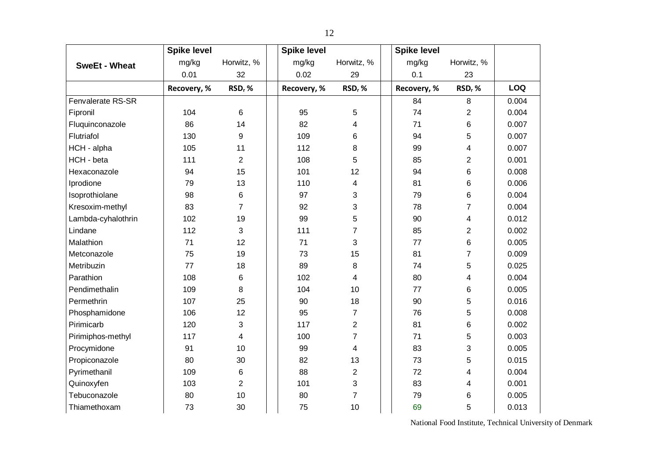|                      | <b>Spike level</b> |                | <b>Spike level</b> |                    | <b>Spike level</b> |                    |            |
|----------------------|--------------------|----------------|--------------------|--------------------|--------------------|--------------------|------------|
| <b>SweEt - Wheat</b> | mg/kg              | Horwitz, %     | mg/kg              | Horwitz, %         | mg/kg              | Horwitz, %         |            |
|                      | 0.01               | 32             | 0.02               | 29                 | 0.1                | 23                 |            |
|                      | Recovery, %        | $RSDr$ %       | Recovery, %        | RSD <sub>r</sub> % | Recovery, %        | RSD <sub>r</sub> % | <b>LOQ</b> |
| Fenvalerate RS-SR    |                    |                |                    |                    | 84                 | 8                  | 0.004      |
| Fipronil             | 104                | 6              | 95                 | 5                  | 74                 | $\overline{2}$     | 0.004      |
| Fluquinconazole      | 86                 | 14             | 82                 | 4                  | 71                 | 6                  | 0.007      |
| Flutriafol           | 130                | 9              | 109                | 6                  | 94                 | 5                  | 0.007      |
| HCH - alpha          | 105                | 11             | 112                | 8                  | 99                 | $\overline{4}$     | 0.007      |
| HCH - beta           | 111                | $\overline{2}$ | 108                | 5                  | 85                 | $\overline{c}$     | 0.001      |
| Hexaconazole         | 94                 | 15             | 101                | 12                 | 94                 | 6                  | 0.008      |
| Iprodione            | 79                 | 13             | 110                | 4                  | 81                 | 6                  | 0.006      |
| Isoprothiolane       | 98                 | 6              | 97                 | 3                  | 79                 | 6                  | 0.004      |
| Kresoxim-methyl      | 83                 | $\overline{7}$ | 92                 | 3                  | 78                 | $\overline{7}$     | 0.004      |
| Lambda-cyhalothrin   | 102                | 19             | 99                 | 5                  | 90                 | 4                  | 0.012      |
| Lindane              | 112                | 3              | 111                | $\overline{7}$     | 85                 | $\overline{2}$     | 0.002      |
| Malathion            | 71                 | 12             | 71                 | 3                  | 77                 | 6                  | 0.005      |
| Metconazole          | 75                 | 19             | 73                 | 15                 | 81                 | $\overline{7}$     | 0.009      |
| Metribuzin           | 77                 | 18             | 89                 | 8                  | 74                 | 5                  | 0.025      |
| Parathion            | 108                | 6              | 102                | 4                  | 80                 | 4                  | 0.004      |
| Pendimethalin        | 109                | 8              | 104                | 10                 | 77                 | 6                  | 0.005      |
| Permethrin           | 107                | 25             | 90                 | 18                 | 90                 | 5                  | 0.016      |
| Phosphamidone        | 106                | 12             | 95                 | $\overline{7}$     | 76                 | 5                  | 0.008      |
| Pirimicarb           | 120                | 3              | 117                | $\overline{2}$     | 81                 | 6                  | 0.002      |
| Pirimiphos-methyl    | 117                | 4              | 100                | $\overline{7}$     | 71                 | 5                  | 0.003      |
| Procymidone          | 91                 | 10             | 99                 | 4                  | 83                 | 3                  | 0.005      |
| Propiconazole        | 80                 | 30             | 82                 | 13                 | 73                 | 5                  | 0.015      |
| Pyrimethanil         | 109                | 6              | 88                 | 2                  | 72                 | 4                  | 0.004      |
| Quinoxyfen           | 103                | $\overline{2}$ | 101                | 3                  | 83                 | 4                  | 0.001      |
| Tebuconazole         | 80                 | 10             | 80                 | $\overline{7}$     | 79                 | 6                  | 0.005      |
| Thiamethoxam         | 73                 | 30             | 75                 | 10                 | 69                 | 5                  | 0.013      |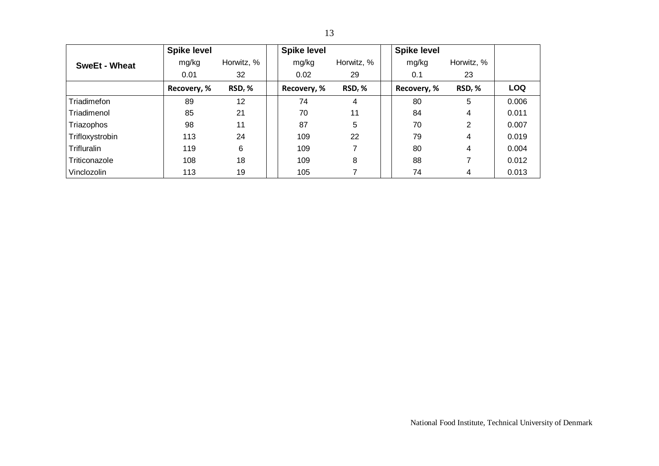|                      | <b>Spike level</b> |            | <b>Spike level</b> |            | <b>Spike level</b> |            |            |
|----------------------|--------------------|------------|--------------------|------------|--------------------|------------|------------|
| <b>SweEt - Wheat</b> | mg/kg              | Horwitz, % | mg/kg              | Horwitz, % | mg/kg              | Horwitz, % |            |
|                      | 0.01               | 32         | 0.02               | 29         | 0.1                | 23         |            |
|                      | Recovery, %        | $RSDr$ %   | Recovery, %        | $RSDr$ %   | Recovery, %        | $RSDr$ %   | <b>LOQ</b> |
| Triadimefon          | 89                 | 12         | 74                 | 4          | 80                 | 5          | 0.006      |
| Triadimenol          | 85                 | 21         | 70                 | 11         | 84                 | 4          | 0.011      |
| Triazophos           | 98                 | 11         | 87                 | 5          | 70                 | 2          | 0.007      |
| Trifloxystrobin      | 113                | 24         | 109                | 22         | 79                 | 4          | 0.019      |
| <b>Trifluralin</b>   | 119                | 6          | 109                |            | 80                 | 4          | 0.004      |
| Triticonazole        | 108                | 18         | 109                | 8          | 88                 | 7          | 0.012      |
| Vinclozolin          | 113                | 19         | 105                |            | 74                 | 4          | 0.013      |